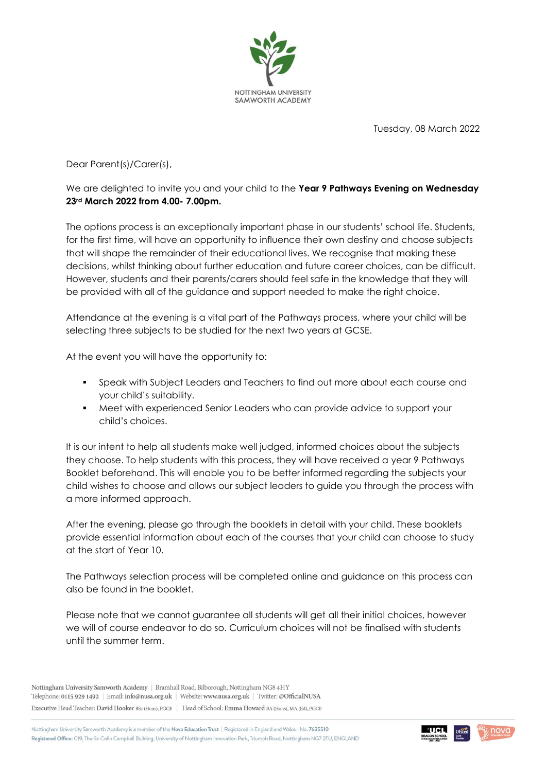

Tuesday, 08 March 2022

Dear Parent(s)/Carer(s),

## We are delighted to invite you and your child to the **Year 9 Pathways Evening on Wednesday 23rd March 2022 from 4.00- 7.00pm.**

The options process is an exceptionally important phase in our students' school life. Students, for the first time, will have an opportunity to influence their own destiny and choose subjects that will shape the remainder of their educational lives. We recognise that making these decisions, whilst thinking about further education and future career choices, can be difficult. However, students and their parents/carers should feel safe in the knowledge that they will be provided with all of the guidance and support needed to make the right choice.

Attendance at the evening is a vital part of the Pathways process, where your child will be selecting three subjects to be studied for the next two years at GCSE.

At the event you will have the opportunity to:

- Speak with Subject Leaders and Teachers to find out more about each course and your child's suitability.
- Meet with experienced Senior Leaders who can provide advice to support your child's choices.

It is our intent to help all students make well judged, informed choices about the subjects they choose. To help students with this process, they will have received a year 9 Pathways Booklet beforehand. This will enable you to be better informed regarding the subjects your child wishes to choose and allows our subject leaders to guide you through the process with a more informed approach.

After the evening, please go through the booklets in detail with your child. These booklets provide essential information about each of the courses that your child can choose to study at the start of Year 10.

The Pathways selection process will be completed online and guidance on this process can also be found in the booklet.

Please note that we cannot guarantee all students will get all their initial choices, however we will of course endeavor to do so. Curriculum choices will not be finalised with students until the summer term.

Nottingham University Samworth Academy is a member of the Nova Education Trust | Registered in England and Wales-No. 7635510 Registered Office: C19, The Sir Colin Campbell Building, University of Nottingham Innovation Park, Triumph Road, Nottingham NG7 2TU, ENGLAND